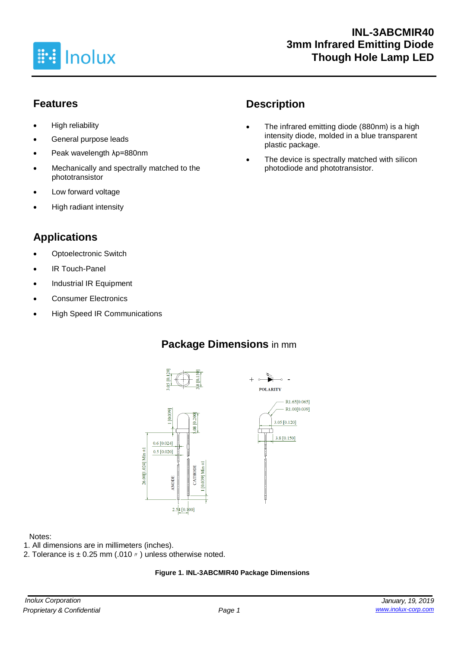

### **Features**

- High reliability
- General purpose leads
- Peak wavelength λp=880nm
- Mechanically and spectrally matched to the phototransistor
- Low forward voltage
- High radiant intensity

## **Applications**

- **Optoelectronic Switch**
- IR Touch-Panel
- Industrial IR Equipment
- Consumer Electronics
- High Speed IR Communications

## **Description**

- The infrared emitting diode (880nm) is a high intensity diode, molded in a blue transparent plastic package.
- The device is spectrally matched with silicon photodiode and phototransistor.

## **Package Dimensions** in mm





#### Notes:

- 1. All dimensions are in millimeters (inches).
- 2. Tolerance is  $\pm$  0.25 mm (.010  $\prime\prime$  ) unless otherwise noted.

#### **Figure 1. INL-3ABCMIR40 Package Dimensions**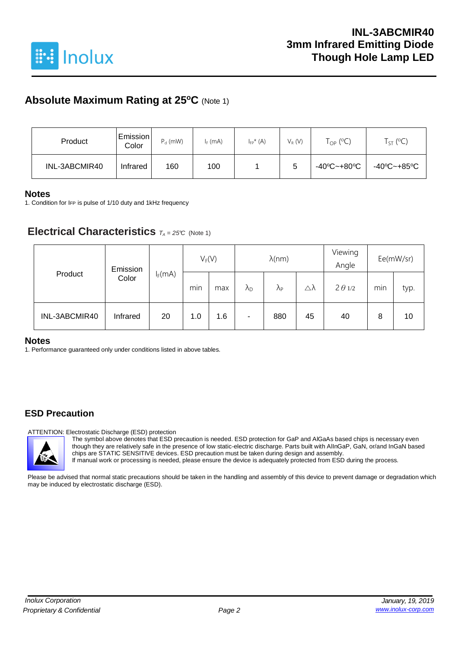

### **Absolute Maximum Rating at 25<sup>o</sup>C** (Note 1)

| Product       | Emission <br>Color | $P_d$ (mW) | $I_F$ (mA) | $I_{FP}^{\star}$ (A) | $V_R$ (V) | $\mathsf{T}_{\mathsf{OP}}$ (°C) | $T_{ST}$ (°C) |
|---------------|--------------------|------------|------------|----------------------|-----------|---------------------------------|---------------|
| INL-3ABCMIR40 | Infrared           | 160        | 100        |                      | 5         | -40°C~+80°C                     | -40°C~+85°C   |

#### **Notes**

1. Condition for IFP is pulse of 1/10 duty and 1kHz frequency

### **Electrical Characteristics**  $T_A = 25^\circ C$  (Note 1)

| Product       | Emission | $V_F(V)$  |     |     | $\lambda$ (nm)       |                      |    | Viewing<br>Angle | Ee(mW/sr) |      |
|---------------|----------|-----------|-----|-----|----------------------|----------------------|----|------------------|-----------|------|
|               | Color    | $I_F(mA)$ | min | max | $\lambda_{\text{D}}$ | $\Lambda_{\text{P}}$ | Δλ | $2 \theta$ 1/2   | min       | typ. |
| INL-3ABCMIR40 | Infrared | 20        | 1.0 | 1.6 | ۰                    | 880                  | 45 | 40               | 8         | 10   |

#### **Notes**

1. Performance guaranteed only under conditions listed in above tables.

### **ESD Precaution**

ATTENTION: Electrostatic Discharge (ESD) protection

The symbol above denotes that ESD precaution is needed. ESD protection for GaP and AlGaAs based chips is necessary even though they are relatively safe in the presence of low static-electric discharge. Parts built with AlInGaP, GaN, or/and InGaN based chips are STATIC SENSITIVE devices. ESD precaution must be taken during design and assembly. If manual work or processing is needed, please ensure the device is adequately protected from ESD during the process.

Please be advised that normal static precautions should be taken in the handling and assembly of this device to prevent damage or degradation which may be induced by electrostatic discharge (ESD).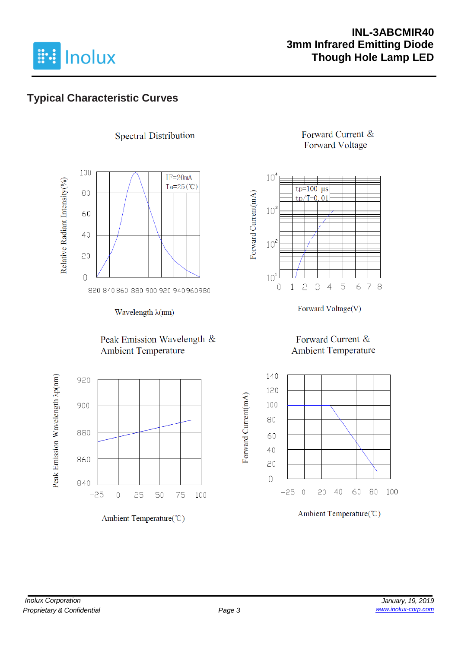

### **INL-3ABCMIR40 3mm Infrared Emitting Diode Though Hole Lamp LED**

## **Typical Characteristic Curves**



**Spectral Distribution** 

Wavelength λ(nm)

#### Peak Emission Wavelength & **Ambient Temperature**



Ambient Temperature(°C)

### Forward Current & **Forward Voltage**



Forward Voltage(V)

### Forward Current & **Ambient Temperature**



Ambient Temperature(°C)

Forward Current(mA)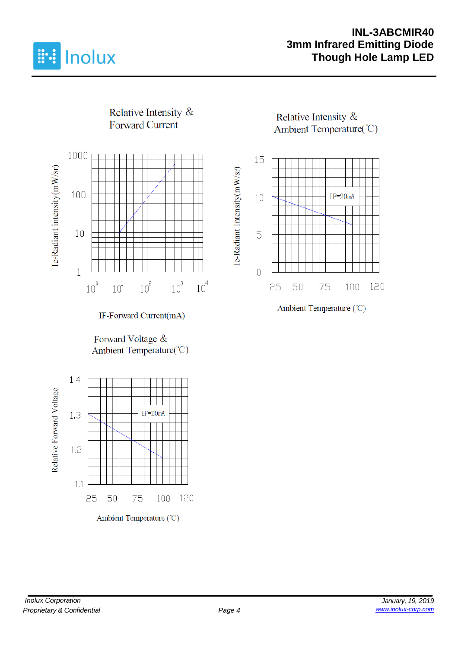

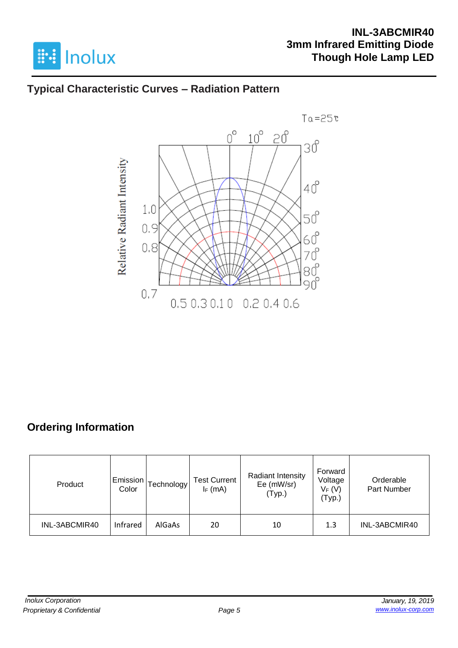

### **INL-3ABCMIR40 3mm Infrared Emitting Diode Though Hole Lamp LED**

### **Typical Characteristic Curves – Radiation Pattern**



# **Ordering Information**

| Product       | Emission<br>Color | [echnology] | <b>Test Current</b><br>$I_F$ (mA) | <b>Radiant Intensity</b><br>Ee (mW/sr)<br>(Typ.) | Forward<br>Voltage<br>$V_F(V)$<br>(Typ.) | Orderable<br>Part Number |
|---------------|-------------------|-------------|-----------------------------------|--------------------------------------------------|------------------------------------------|--------------------------|
| INL-3ABCMIR40 | Infrared          | AlGaAs      | 20                                | 10                                               | 1.3                                      | INL-3ABCMIR40            |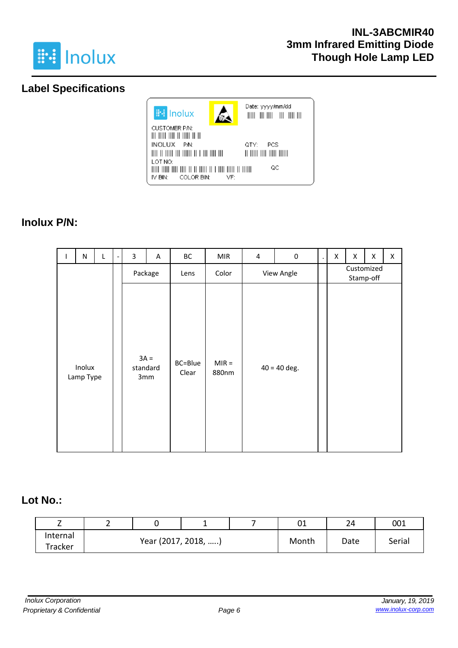

### **Label Specifications**



### **Inolux P/N:**

| J. | ${\sf N}$           | L       |  | 3        | Α             | ВC               | <b>MIR</b>       | $\pmb{4}$ | $\pmb{0}$      | $\cdot$                 | X | X | X | X |
|----|---------------------|---------|--|----------|---------------|------------------|------------------|-----------|----------------|-------------------------|---|---|---|---|
|    |                     | Package |  |          | Lens          | Color            | View Angle       |           |                | Customized<br>Stamp-off |   |   |   |   |
|    | Inolux<br>Lamp Type |         |  | standard | $3A =$<br>3mm | BC=Blue<br>Clear | $MIR =$<br>880nm |           | $40 = 40$ deg. |                         |   |   |   |   |

### **Lot No.:**

| <u>_</u> | - |                     | - |       | 01   | 24     | 001 |
|----------|---|---------------------|---|-------|------|--------|-----|
| Internal |   | Year (2017, 2018, ) |   | Month | Date | Serial |     |
| Tracker  |   |                     |   |       |      |        |     |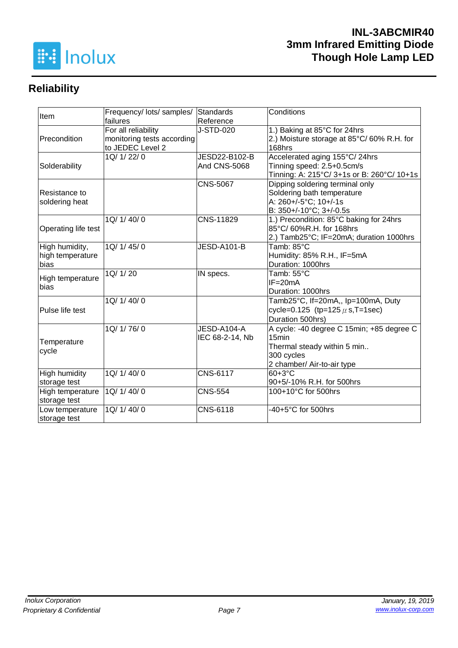

# **Reliability**

| Item                 | Frequency/ lots/ samples/  | Standards           | Conditions                                 |  |  |
|----------------------|----------------------------|---------------------|--------------------------------------------|--|--|
|                      | failures                   | Reference           |                                            |  |  |
|                      | For all reliability        | J-STD-020           | 1.) Baking at 85°C for 24hrs               |  |  |
| Precondition         | monitoring tests according |                     | 2.) Moisture storage at 85°C/60% R.H. for  |  |  |
|                      | to JEDEC Level 2           |                     | 168hrs                                     |  |  |
|                      | 1Q/ 1/ 22/ 0               | JESD22-B102-B       | Accelerated aging 155°C/24hrs              |  |  |
| Solderability        |                            | <b>And CNS-5068</b> | Tinning speed: 2.5+0.5cm/s                 |  |  |
|                      |                            |                     | Tinning: A: 215°C/ 3+1s or B: 260°C/ 10+1s |  |  |
|                      |                            | <b>CNS-5067</b>     | Dipping soldering terminal only            |  |  |
| Resistance to        |                            |                     | Soldering bath temperature                 |  |  |
| soldering heat       |                            |                     | A: 260+/-5°C; 10+/-1s                      |  |  |
|                      |                            |                     | B: 350+/-10°C; 3+/-0.5s                    |  |  |
|                      | 1Q/ 1/ 40/ 0               | CNS-11829           | 1.) Precondition: 85°C baking for 24hrs    |  |  |
| Operating life test  |                            |                     | 85°C/ 60%R.H. for 168hrs                   |  |  |
|                      |                            |                     | 2.) Tamb25°C; IF=20mA; duration 1000hrs    |  |  |
| High humidity,       | 1Q/1/45/0                  | JESD-A101-B         | Tamb: 85°C                                 |  |  |
| high temperature     |                            |                     | Humidity: 85% R.H., IF=5mA                 |  |  |
| bias                 |                            |                     | Duration: 1000hrs                          |  |  |
| High temperature     | 1Q/ 1/ 20                  | IN specs.           | Tamb: 55°C                                 |  |  |
| bias                 |                            |                     | $IF = 20mA$                                |  |  |
|                      |                            |                     | Duration: 1000hrs                          |  |  |
|                      | 1Q/1/40/0                  |                     | Tamb25°C, If=20mA,, Ip=100mA, Duty         |  |  |
| Pulse life test      |                            |                     | cycle=0.125 (tp=125 $\mu$ s, T=1sec)       |  |  |
|                      |                            |                     | Duration 500hrs)                           |  |  |
|                      | 1Q/ 1/ 76/ 0               | JESD-A104-A         | A cycle: -40 degree C 15min; +85 degree C  |  |  |
| Temperature          |                            | IEC 68-2-14, Nb     | 15 <sub>min</sub>                          |  |  |
|                      |                            |                     | Thermal steady within 5 min                |  |  |
| cycle                |                            |                     | 300 cycles                                 |  |  |
|                      |                            |                     | 2 chamber/ Air-to-air type                 |  |  |
| <b>High humidity</b> | 1Q/ 1/ 40/ 0               | <b>CNS-6117</b>     | $60+3°C$                                   |  |  |
| storage test         |                            |                     | 90+5/-10% R.H. for 500hrs                  |  |  |
| High temperature     | 1Q/ 1/ 40/ 0               | <b>CNS-554</b>      | 100+10°C for 500hrs                        |  |  |
| storage test         |                            |                     |                                            |  |  |
| Low temperature      | 1Q/ 1/ 40/ 0               | CNS-6118            | -40+5°C for 500hrs                         |  |  |
| storage test         |                            |                     |                                            |  |  |